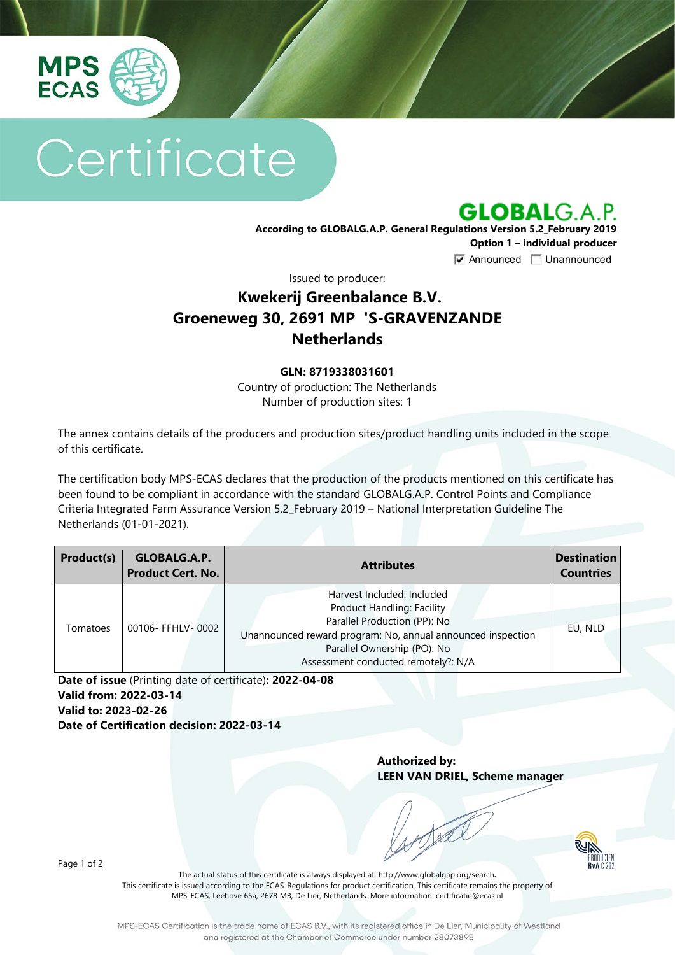

# Certificate

**GLOBALG.A.P.** 

**According to GLOBALG.A.P. General Regulations Version 5.2\_February 2019 Option 1 – individual producer**  $\nabla$  Announced  $\nabla$  Unannounced

Issued to producer:

## **Kwekerij Greenbalance B.V. Groeneweg 30, 2691 MP 'S-GRAVENZANDE Netherlands**

#### **GLN: 8719338031601**

Country of production: The Netherlands Number of production sites: 1

The annex contains details of the producers and production sites/product handling units included in the scope of this certificate.

The certification body MPS-ECAS declares that the production of the products mentioned on this certificate has been found to be compliant in accordance with the standard GLOBALG.A.P. Control Points and Compliance Criteria Integrated Farm Assurance Version 5.2\_February 2019 – National Interpretation Guideline The Netherlands (01-01-2021).

| Product(s) | GLOBALG.A.P.<br><b>Product Cert. No.</b> | <b>Attributes</b>                                                                                                                                                                                                                    | <b>Destination</b><br><b>Countries</b> |
|------------|------------------------------------------|--------------------------------------------------------------------------------------------------------------------------------------------------------------------------------------------------------------------------------------|----------------------------------------|
| Tomatoes   | 00106- FFHLV-0002                        | Harvest Included: Included<br><b>Product Handling: Facility</b><br>Parallel Production (PP): No<br>Unannounced reward program: No, annual announced inspection<br>Parallel Ownership (PO): No<br>Assessment conducted remotely?: N/A | EU, NLD                                |

**Date of issue** (Printing date of certificate)**: 2022-04-08 Valid from: 2022-03-14 Valid to: 2023-02-26 Date of Certification decision: 2022-03-14**

> **Authorized by: LEEN VAN DRIEL, Scheme manager**



Page 1 of 2

The actual status of this certificate is always displayed at: <http://www.globalgap.org/search>**.**  This certificate is issued according to the ECAS-Regulations for product certification. This certificate remains the property of MPS-ECAS, Leehove 65a, 2678 MB, De Lier, Netherlands. More information[: certificatie@ecas.nl](mailto:certificatie@ecas.nl)